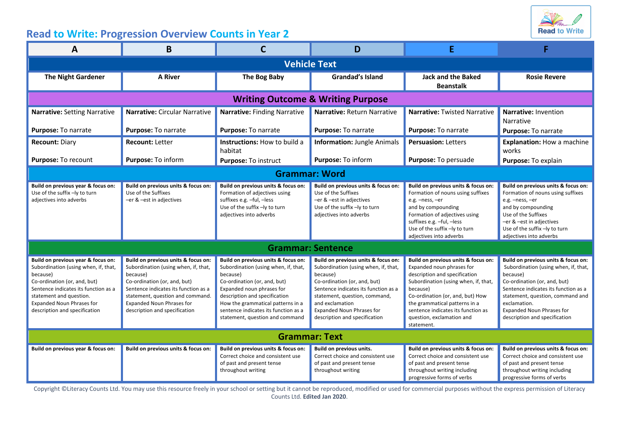

## **Read to Write: Progression Overview Counts in Year 2**

| A                                                                                                                                                                                                                                                              | B                                                                                                                                                                                                                                                                        | C                                                                                                                                                                                                                                                                                                     | D                                                                                                                                                                                                                                                                                        |                                                                                                                                                                                                                                                                                                             |                                                                                                                                                                                                                                                                                          |  |  |  |  |
|----------------------------------------------------------------------------------------------------------------------------------------------------------------------------------------------------------------------------------------------------------------|--------------------------------------------------------------------------------------------------------------------------------------------------------------------------------------------------------------------------------------------------------------------------|-------------------------------------------------------------------------------------------------------------------------------------------------------------------------------------------------------------------------------------------------------------------------------------------------------|------------------------------------------------------------------------------------------------------------------------------------------------------------------------------------------------------------------------------------------------------------------------------------------|-------------------------------------------------------------------------------------------------------------------------------------------------------------------------------------------------------------------------------------------------------------------------------------------------------------|------------------------------------------------------------------------------------------------------------------------------------------------------------------------------------------------------------------------------------------------------------------------------------------|--|--|--|--|
| <b>Vehicle Text</b>                                                                                                                                                                                                                                            |                                                                                                                                                                                                                                                                          |                                                                                                                                                                                                                                                                                                       |                                                                                                                                                                                                                                                                                          |                                                                                                                                                                                                                                                                                                             |                                                                                                                                                                                                                                                                                          |  |  |  |  |
| <b>The Night Gardener</b>                                                                                                                                                                                                                                      | <b>A River</b>                                                                                                                                                                                                                                                           | The Bog Baby                                                                                                                                                                                                                                                                                          | <b>Grandad's Island</b>                                                                                                                                                                                                                                                                  | <b>Jack and the Baked</b><br><b>Beanstalk</b>                                                                                                                                                                                                                                                               | <b>Rosie Revere</b>                                                                                                                                                                                                                                                                      |  |  |  |  |
| <b>Writing Outcome &amp; Writing Purpose</b>                                                                                                                                                                                                                   |                                                                                                                                                                                                                                                                          |                                                                                                                                                                                                                                                                                                       |                                                                                                                                                                                                                                                                                          |                                                                                                                                                                                                                                                                                                             |                                                                                                                                                                                                                                                                                          |  |  |  |  |
| <b>Narrative: Setting Narrative</b>                                                                                                                                                                                                                            | <b>Narrative: Circular Narrative</b>                                                                                                                                                                                                                                     | <b>Narrative: Finding Narrative</b>                                                                                                                                                                                                                                                                   | Narrative: Return Narrative                                                                                                                                                                                                                                                              | <b>Narrative: Twisted Narrative</b>                                                                                                                                                                                                                                                                         | <b>Narrative: Invention</b><br>Narrative                                                                                                                                                                                                                                                 |  |  |  |  |
| Purpose: To narrate                                                                                                                                                                                                                                            | Purpose: To narrate                                                                                                                                                                                                                                                      | Purpose: To narrate                                                                                                                                                                                                                                                                                   | Purpose: To narrate                                                                                                                                                                                                                                                                      | Purpose: To narrate                                                                                                                                                                                                                                                                                         | Purpose: To narrate                                                                                                                                                                                                                                                                      |  |  |  |  |
| <b>Recount: Diary</b>                                                                                                                                                                                                                                          | <b>Recount: Letter</b>                                                                                                                                                                                                                                                   | Instructions: How to build a<br>habitat                                                                                                                                                                                                                                                               | <b>Information: Jungle Animals</b>                                                                                                                                                                                                                                                       | <b>Persuasion: Letters</b>                                                                                                                                                                                                                                                                                  | Explanation: How a machine<br>works                                                                                                                                                                                                                                                      |  |  |  |  |
| Purpose: To recount                                                                                                                                                                                                                                            | Purpose: To inform                                                                                                                                                                                                                                                       | Purpose: To instruct                                                                                                                                                                                                                                                                                  | Purpose: To inform                                                                                                                                                                                                                                                                       | Purpose: To persuade                                                                                                                                                                                                                                                                                        | Purpose: To explain                                                                                                                                                                                                                                                                      |  |  |  |  |
| <b>Grammar: Word</b>                                                                                                                                                                                                                                           |                                                                                                                                                                                                                                                                          |                                                                                                                                                                                                                                                                                                       |                                                                                                                                                                                                                                                                                          |                                                                                                                                                                                                                                                                                                             |                                                                                                                                                                                                                                                                                          |  |  |  |  |
| Build on previous year & focus on:<br>Use of the suffix -ly to turn<br>adjectives into adverbs                                                                                                                                                                 | Build on previous units & focus on:<br>Use of the Suffixes<br>-er & -est in adjectives                                                                                                                                                                                   | Build on previous units & focus on:<br>Formation of adjectives using<br>suffixes e.g. -ful, -less<br>Use of the suffix -ly to turn<br>adjectives into adverbs                                                                                                                                         | Build on previous units & focus on:<br>Use of the Suffixes<br>-er & -est in adjectives<br>Use of the suffix -ly to turn<br>adjectives into adverbs                                                                                                                                       | Build on previous units & focus on:<br>Formation of nouns using suffixes<br>e.g. -ness, -er<br>and by compounding<br>Formation of adjectives using<br>suffixes e.g. -ful, -less<br>Use of the suffix -ly to turn<br>adjectives into adverbs                                                                 | Build on previous units & focus on:<br>Formation of nouns using suffixes<br>e.g. -ness, -er<br>and by compounding<br>Use of the Suffixes<br>-er & -est in adjectives<br>Use of the suffix -ly to turn<br>adjectives into adverbs                                                         |  |  |  |  |
| <b>Grammar: Sentence</b>                                                                                                                                                                                                                                       |                                                                                                                                                                                                                                                                          |                                                                                                                                                                                                                                                                                                       |                                                                                                                                                                                                                                                                                          |                                                                                                                                                                                                                                                                                                             |                                                                                                                                                                                                                                                                                          |  |  |  |  |
| Build on previous year & focus on:<br>Subordination (using when, if, that,<br>because)<br>Co-ordination (or, and, but)<br>Sentence indicates its function as a<br>statement and question.<br><b>Expanded Noun Phrases for</b><br>description and specification | Build on previous units & focus on:<br>Subordination (using when, if, that,<br>because)<br>Co-ordination (or, and, but)<br>Sentence indicates its function as a<br>statement, question and command.<br><b>Expanded Noun Phrases for</b><br>description and specification | Build on previous units & focus on:<br>Subordination (using when, if, that,<br>because)<br>Co-ordination (or, and, but)<br>Expanded noun phrases for<br>description and specification<br>How the grammatical patterns in a<br>sentence indicates its function as a<br>statement, question and command | Build on previous units & focus on:<br>Subordination (using when, if, that,<br>because)<br>Co-ordination (or, and, but)<br>Sentence indicates its function as a<br>statement, question, command,<br>and exclamation<br><b>Expanded Noun Phrases for</b><br>description and specification | Build on previous units & focus on:<br>Expanded noun phrases for<br>description and specification<br>Subordination (using when, if, that,<br>because)<br>Co-ordination (or, and, but) How<br>the grammatical patterns in a<br>sentence indicates its function as<br>question, exclamation and<br>statement. | Build on previous units & focus on:<br>Subordination (using when, if, that,<br>because)<br>Co-ordination (or, and, but)<br>Sentence indicates its function as a<br>statement, question, command and<br>exclamation.<br><b>Expanded Noun Phrases for</b><br>description and specification |  |  |  |  |
| <b>Grammar: Text</b>                                                                                                                                                                                                                                           |                                                                                                                                                                                                                                                                          |                                                                                                                                                                                                                                                                                                       |                                                                                                                                                                                                                                                                                          |                                                                                                                                                                                                                                                                                                             |                                                                                                                                                                                                                                                                                          |  |  |  |  |
| Build on previous year & focus on:                                                                                                                                                                                                                             | Build on previous units & focus on:                                                                                                                                                                                                                                      | Build on previous units & focus on:<br>Correct choice and consistent use<br>of past and present tense<br>throughout writing                                                                                                                                                                           | Build on previous units.<br>Correct choice and consistent use<br>of past and present tense<br>throughout writing                                                                                                                                                                         | Build on previous units & focus on:<br>Correct choice and consistent use<br>of past and present tense<br>throughout writing including<br>progressive forms of verbs                                                                                                                                         | Build on previous units & focus on:<br>Correct choice and consistent use<br>of past and present tense<br>throughout writing including<br>progressive forms of verbs                                                                                                                      |  |  |  |  |

Copyright ©Literacy Counts Ltd. You may use this resource freely in your school or setting but it cannot be reproduced, modified or used for commercial purposes without the express permission of Literacy Counts Ltd. **Edited Jan 2020**.